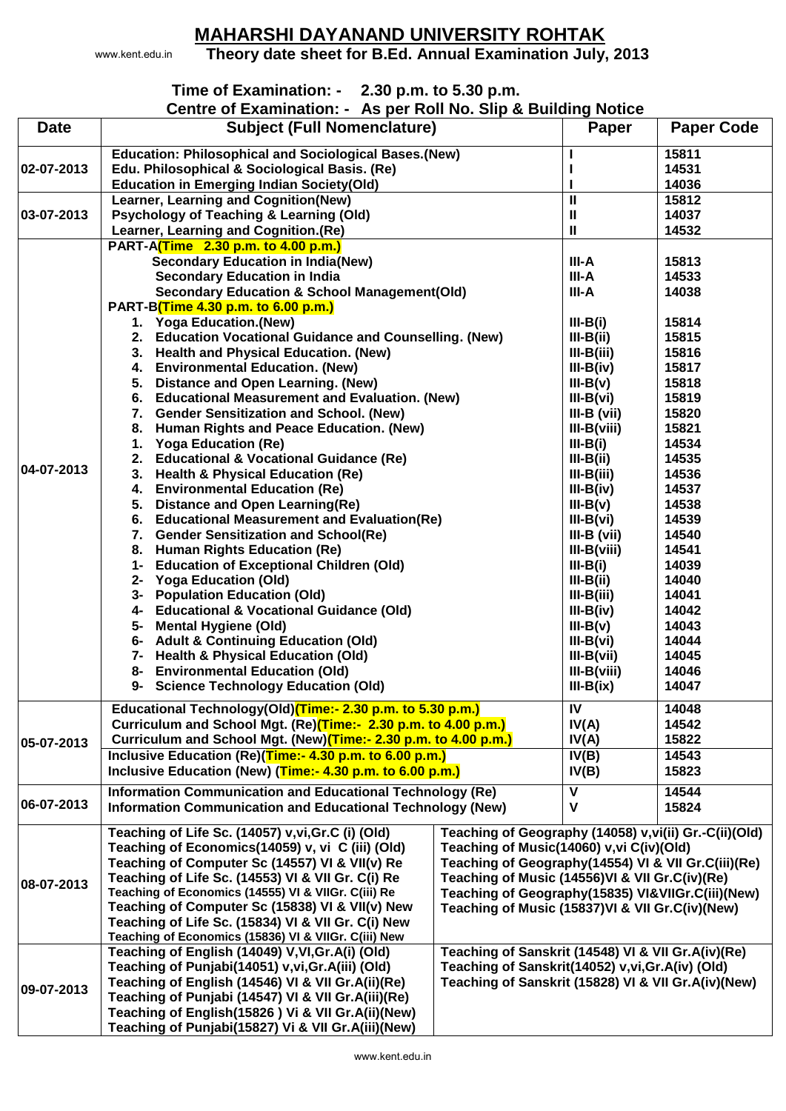## **MAHARSHI DAYANAND UNIVERSITY ROHTAK**

www.kent.edu.in

## **Theory date sheet for B.Ed. Annual Examination July, 2013**

## **Time of Examination: - 2.30 p.m. to 5.30 p.m.**

**Centre of Examination: - As per Roll No. Slip & Building Notice**

|             | $\sim$ . Examination. The pollition rior only we building riotice                                        |                                                        |               |                   |
|-------------|----------------------------------------------------------------------------------------------------------|--------------------------------------------------------|---------------|-------------------|
| <b>Date</b> | <b>Subject (Full Nomenclature)</b>                                                                       |                                                        | Paper         | <b>Paper Code</b> |
|             | <b>Education: Philosophical and Sociological Bases. (New)</b>                                            |                                                        |               | 15811             |
| 02-07-2013  | Edu. Philosophical & Sociological Basis. (Re)                                                            |                                                        |               | 14531             |
|             | <b>Education in Emerging Indian Society(Old)</b>                                                         |                                                        | L             | 14036             |
|             | Learner, Learning and Cognition(New)                                                                     |                                                        | $\mathbf{I}$  | 15812             |
| 03-07-2013  | <b>Psychology of Teaching &amp; Learning (Old)</b>                                                       |                                                        | Ш             | 14037             |
|             |                                                                                                          |                                                        | Ш             | 14532             |
|             | Learner, Learning and Cognition.(Re)<br>PART-A(Time 2.30 p.m. to 4.00 p.m.)                              |                                                        |               |                   |
|             |                                                                                                          |                                                        |               |                   |
|             | <b>Secondary Education in India(New)</b>                                                                 |                                                        | III-A         | 15813             |
|             | <b>Secondary Education in India</b>                                                                      |                                                        | III-A         | 14533             |
|             | <b>Secondary Education &amp; School Management(Old)</b>                                                  |                                                        | III-A         | 14038             |
|             | PART-B(Time 4.30 p.m. to 6.00 p.m.)                                                                      |                                                        |               |                   |
|             | 1. Yoga Education.(New)                                                                                  |                                                        | $III-B(i)$    | 15814             |
|             | <b>Education Vocational Guidance and Counselling. (New)</b><br>2.                                        |                                                        | $III-B(ii)$   | 15815             |
|             | <b>Health and Physical Education. (New)</b><br>3.                                                        |                                                        | $III-B(iii)$  | 15816             |
|             | <b>Environmental Education. (New)</b><br>4.                                                              |                                                        | $III-B(iv)$   | 15817             |
|             | <b>Distance and Open Learning. (New)</b><br>5.                                                           |                                                        | $III-B(v)$    | 15818             |
|             | <b>Educational Measurement and Evaluation. (New)</b><br>6.                                               |                                                        | $III-B(vi)$   | 15819             |
|             | <b>Gender Sensitization and School. (New)</b><br>7.                                                      |                                                        | $III-B (vii)$ | 15820             |
| 04-07-2013  | Human Rights and Peace Education. (New)<br>8.                                                            |                                                        | $III-B(viii)$ | 15821             |
|             | <b>Yoga Education (Re)</b><br>1.                                                                         |                                                        | $III-B(i)$    | 14534             |
|             | <b>Educational &amp; Vocational Guidance (Re)</b><br>2.                                                  |                                                        | $III-B(ii)$   | 14535             |
|             | <b>Health &amp; Physical Education (Re)</b><br>3.                                                        |                                                        | $III-B(iii)$  | 14536             |
|             | <b>Environmental Education (Re)</b><br>4.                                                                |                                                        | $III-B(iv)$   | 14537             |
|             | <b>Distance and Open Learning(Re)</b><br>5.                                                              |                                                        | $III-B(v)$    | 14538             |
|             | <b>Educational Measurement and Evaluation(Re)</b><br>6.                                                  |                                                        | $III-B(vi)$   | 14539             |
|             | <b>Gender Sensitization and School(Re)</b><br>7.                                                         |                                                        | $III-B (vii)$ | 14540             |
|             | <b>Human Rights Education (Re)</b><br>8.                                                                 |                                                        | $III-B(viii)$ | 14541             |
|             | <b>Education of Exceptional Children (Old)</b><br>1-                                                     |                                                        | $III-B(i)$    | 14039             |
|             | 2- Yoga Education (Old)                                                                                  |                                                        | $III-B(ii)$   | 14040             |
|             | <b>Population Education (Old)</b><br>3-                                                                  |                                                        | $III-B(iii)$  | 14041             |
|             | 4- Educational & Vocational Guidance (Old)                                                               |                                                        | $III-B(iv)$   | 14042             |
|             | <b>Mental Hygiene (Old)</b><br>5-                                                                        |                                                        | $III-B(v)$    | 14043             |
|             | 6- Adult & Continuing Education (Old)                                                                    |                                                        | $III-B(vi)$   | 14044             |
|             | 7- Health & Physical Education (Old)                                                                     |                                                        | $III-B(vii)$  | 14045             |
|             | <b>Environmental Education (Old)</b><br>8-                                                               |                                                        | $III-B(viii)$ | 14046             |
|             | 9- Science Technology Education (Old)                                                                    |                                                        | $III-B(ix)$   | 14047             |
|             |                                                                                                          |                                                        |               |                   |
|             | Educational Technology(Old)(Time:- 2.30 p.m. to 5.30 p.m.)                                               |                                                        | IV            | 14048             |
|             | Curriculum and School Mgt. (Re)(Time:- 2.30 p.m. to 4.00 p.m.)                                           |                                                        | IV(A)         | 14542             |
| 05-07-2013  | Curriculum and School Mgt. (New)(Time:- 2.30 p.m. to 4.00 p.m.)                                          |                                                        | IV(A)         | 15822             |
|             | Inclusive Education (Re)(Time:- 4.30 p.m. to 6.00 p.m.)                                                  |                                                        | IV(B)         | 14543             |
|             | Inclusive Education (New) (Time:- 4.30 p.m. to 6.00 p.m.)                                                |                                                        | IV(B)         | 15823             |
|             | Information Communication and Educational Technology (Re)                                                |                                                        | $\mathbf v$   | 14544             |
| 06-07-2013  | Information Communication and Educational Technology (New)                                               |                                                        | $\mathbf v$   | 15824             |
|             |                                                                                                          |                                                        |               |                   |
| 08-07-2013  | Teaching of Life Sc. (14057) v, vi, Gr. C (i) (Old)                                                      | Teaching of Geography (14058) v, vi(ii) Gr.-C(ii)(Old) |               |                   |
|             | Teaching of Economics(14059) v, vi C (iii) (Old)<br>Teaching of Music(14060) v, vi C(iv)(Old)            |                                                        |               |                   |
|             | Teaching of Computer Sc (14557) VI & VII(v) Re<br>Teaching of Geography(14554) VI & VII Gr.C(iii)(Re)    |                                                        |               |                   |
|             | Teaching of Life Sc. (14553) VI & VII Gr. C(i) Re                                                        | Teaching of Music (14556)VI & VII Gr.C(iv)(Re)         |               |                   |
|             | Teaching of Economics (14555) VI & VIIGr. C(iii) Re<br>Teaching of Geography(15835) VI&VIIGr.C(iii)(New) |                                                        |               |                   |
|             | Teaching of Computer Sc (15838) VI & VII(v) New<br>Teaching of Music (15837) VI & VII Gr.C(iv) (New)     |                                                        |               |                   |
|             | Teaching of Life Sc. (15834) VI & VII Gr. C(i) New                                                       |                                                        |               |                   |
|             | Teaching of Economics (15836) VI & VIIGr. C(iii) New                                                     |                                                        |               |                   |
| 09-07-2013  | Teaching of English (14049) V, VI, Gr. A(i) (Old)                                                        | Teaching of Sanskrit (14548) VI & VII Gr. A(iv) (Re)   |               |                   |
|             | Teaching of Sanskrit(14052) v, vi, Gr. A(iv) (Old)<br>Teaching of Punjabi(14051) v, vi, Gr. A(iii) (Old) |                                                        |               |                   |
|             | Teaching of English (14546) VI & VII Gr. A(ii) (Re)                                                      | Teaching of Sanskrit (15828) VI & VII Gr. A(iv) (New)  |               |                   |
|             | Teaching of Punjabi (14547) VI & VII Gr. A(iii) (Re)                                                     |                                                        |               |                   |
|             | Teaching of English(15826) Vi & VII Gr.A(ii)(New)                                                        |                                                        |               |                   |
|             | Teaching of Punjabi(15827) Vi & VII Gr.A(iii)(New)                                                       |                                                        |               |                   |
|             |                                                                                                          |                                                        |               |                   |